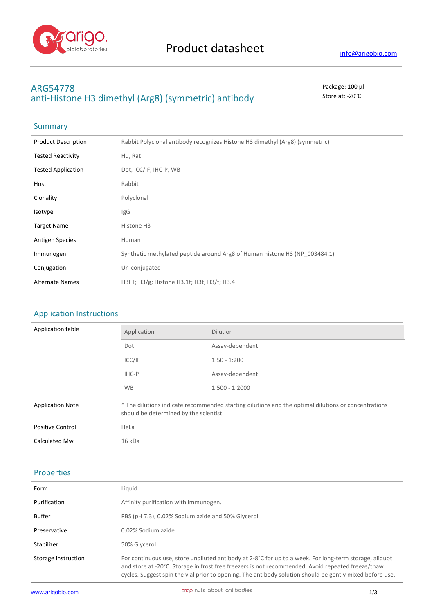

# **ARG54778** Package: 100 μl anti-Histone H3 dimethyl (Arg8) (symmetric) antibody Store at: -20<sup>°</sup>C

# Summary

| <b>Product Description</b> | Rabbit Polyclonal antibody recognizes Histone H3 dimethyl (Arg8) (symmetric) |
|----------------------------|------------------------------------------------------------------------------|
| <b>Tested Reactivity</b>   | Hu, Rat                                                                      |
| <b>Tested Application</b>  | Dot, ICC/IF, IHC-P, WB                                                       |
| Host                       | Rabbit                                                                       |
| Clonality                  | Polyclonal                                                                   |
| Isotype                    | IgG                                                                          |
| <b>Target Name</b>         | Histone H3                                                                   |
| <b>Antigen Species</b>     | Human                                                                        |
| Immunogen                  | Synthetic methylated peptide around Arg8 of Human histone H3 (NP 003484.1)   |
| Conjugation                | Un-conjugated                                                                |
| <b>Alternate Names</b>     | H3FT; H3/g; Histone H3.1t; H3t; H3/t; H3.4                                   |

## Application Instructions

| Application table       | Application                                                                                                                                   | <b>Dilution</b>  |
|-------------------------|-----------------------------------------------------------------------------------------------------------------------------------------------|------------------|
|                         | Dot                                                                                                                                           | Assay-dependent  |
|                         | ICC/IF                                                                                                                                        | $1:50 - 1:200$   |
|                         | IHC-P                                                                                                                                         | Assay-dependent  |
|                         | <b>WB</b>                                                                                                                                     | $1:500 - 1:2000$ |
| <b>Application Note</b> | * The dilutions indicate recommended starting dilutions and the optimal dilutions or concentrations<br>should be determined by the scientist. |                  |
| <b>Positive Control</b> | HeLa                                                                                                                                          |                  |
| Calculated Mw           | 16 kDa                                                                                                                                        |                  |

### Properties

| Form                | Liauid                                                                                                                                                                                                                                                                                                                  |
|---------------------|-------------------------------------------------------------------------------------------------------------------------------------------------------------------------------------------------------------------------------------------------------------------------------------------------------------------------|
| Purification        | Affinity purification with immunogen.                                                                                                                                                                                                                                                                                   |
| Buffer              | PBS (pH 7.3), 0.02% Sodium azide and 50% Glycerol                                                                                                                                                                                                                                                                       |
| Preservative        | 0.02% Sodium azide                                                                                                                                                                                                                                                                                                      |
| Stabilizer          | 50% Glycerol                                                                                                                                                                                                                                                                                                            |
| Storage instruction | For continuous use, store undiluted antibody at 2-8°C for up to a week. For long-term storage, aliquot<br>and store at -20°C. Storage in frost free freezers is not recommended. Avoid repeated freeze/thaw<br>cycles. Suggest spin the vial prior to opening. The antibody solution should be gently mixed before use. |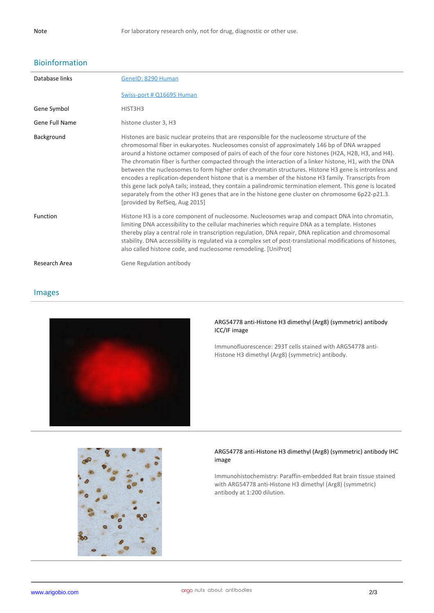## Bioinformation

| Database links | GenelD: 8290 Human                                                                                                                                                                                                                                                                                                                                                                                                                                                                                                                                                                                                                                                                                                                                                                                                                                                               |
|----------------|----------------------------------------------------------------------------------------------------------------------------------------------------------------------------------------------------------------------------------------------------------------------------------------------------------------------------------------------------------------------------------------------------------------------------------------------------------------------------------------------------------------------------------------------------------------------------------------------------------------------------------------------------------------------------------------------------------------------------------------------------------------------------------------------------------------------------------------------------------------------------------|
|                | Swiss-port # Q16695 Human                                                                                                                                                                                                                                                                                                                                                                                                                                                                                                                                                                                                                                                                                                                                                                                                                                                        |
| Gene Symbol    | HIST3H3                                                                                                                                                                                                                                                                                                                                                                                                                                                                                                                                                                                                                                                                                                                                                                                                                                                                          |
| Gene Full Name | histone cluster 3, H3                                                                                                                                                                                                                                                                                                                                                                                                                                                                                                                                                                                                                                                                                                                                                                                                                                                            |
| Background     | Histones are basic nuclear proteins that are responsible for the nucleosome structure of the<br>chromosomal fiber in eukaryotes. Nucleosomes consist of approximately 146 bp of DNA wrapped<br>around a histone octamer composed of pairs of each of the four core histones (H2A, H2B, H3, and H4).<br>The chromatin fiber is further compacted through the interaction of a linker histone, H1, with the DNA<br>between the nucleosomes to form higher order chromatin structures. Histone H3 gene is intronless and<br>encodes a replication-dependent histone that is a member of the histone H3 family. Transcripts from<br>this gene lack polyA tails; instead, they contain a palindromic termination element. This gene is located<br>separately from the other H3 genes that are in the histone gene cluster on chromosome 6p22-p21.3.<br>[provided by RefSeq, Aug 2015] |
| Function       | Histone H3 is a core component of nucleosome. Nucleosomes wrap and compact DNA into chromatin,<br>limiting DNA accessibility to the cellular machineries which require DNA as a template. Histones<br>thereby play a central role in transcription regulation, DNA repair, DNA replication and chromosomal<br>stability. DNA accessibility is regulated via a complex set of post-translational modifications of histones,<br>also called histone code, and nucleosome remodeling. [UniProt]                                                                                                                                                                                                                                                                                                                                                                                     |
| Research Area  | Gene Regulation antibody                                                                                                                                                                                                                                                                                                                                                                                                                                                                                                                                                                                                                                                                                                                                                                                                                                                         |

### Images



### **ARG54778 anti-Histone H3 dimethyl (Arg8) (symmetric) antibody ICC/IF image**

Immunofluorescence: 293T cells stained with ARG54778 anti-Histone H3 dimethyl (Arg8) (symmetric) antibody.



#### **ARG54778 anti-Histone H3 dimethyl (Arg8) (symmetric) antibody IHC image**

Immunohistochemistry: Paraffin-embedded Rat brain tissue stained with ARG54778 anti-Histone H3 dimethyl (Arg8) (symmetric) antibody at 1:200 dilution.